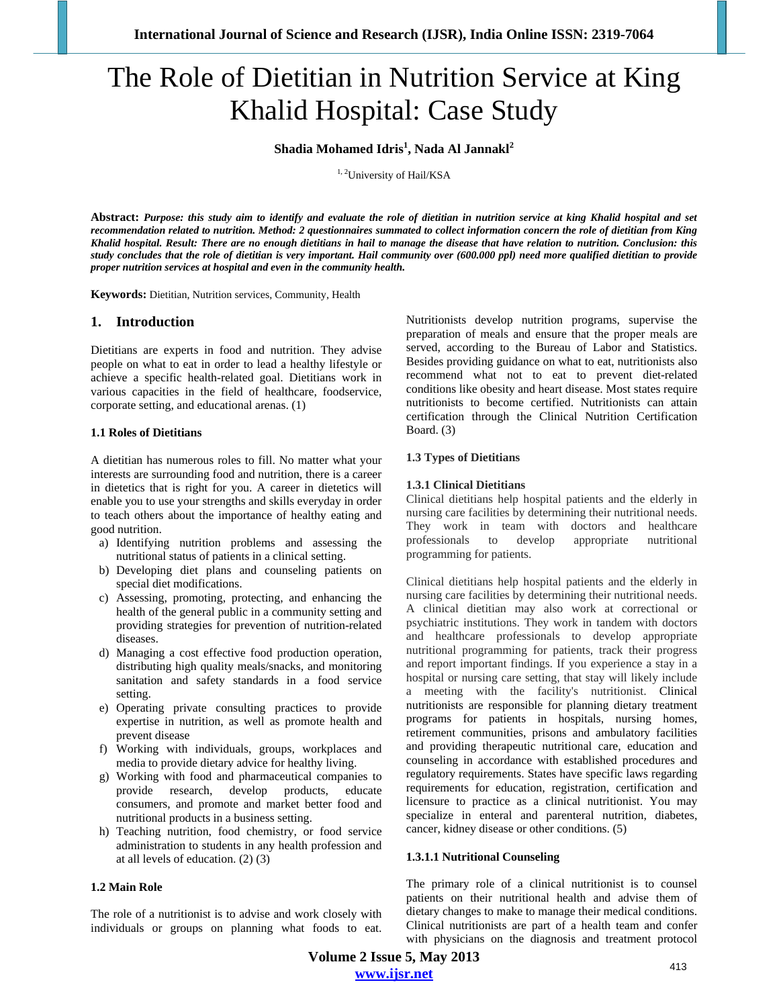# The Role of Dietitian in Nutrition Service at King Khalid Hospital: Case Study

**Shadia Mohamed Idris<sup>1</sup> , Nada Al Jannakl<sup>2</sup>**

<sup>1, 2</sup>University of Hail/KSA

**Abstract:** *Purpose: this study aim to identify and evaluate the role of dietitian in nutrition service at king Khalid hospital and set recommendation related to nutrition. Method: 2 questionnaires summated to collect information concern the role of dietitian from King Khalid hospital. Result: There are no enough dietitians in hail to manage the disease that have relation to nutrition. Conclusion: this study concludes that the role of dietitian is very important. Hail community over (600.000 ppl) need more qualified dietitian to provide proper nutrition services at hospital and even in the community health.*

**Keywords:** Dietitian, Nutrition services, Community, Health

## **1. Introduction**

Dietitians are experts in food and nutrition. They advise people on what to eat in order to lead a healthy lifestyle or achieve a specific health-related goal. Dietitians work in various capacities in the field of healthcare, foodservice, corporate setting, and educational arenas. (1)

#### **1.1 Roles of Dietitians**

A dietitian has numerous roles to fill. No matter what your interests are surrounding food and nutrition, there is a career in dietetics that is right for you. A career in dietetics will enable you to use your strengths and skills everyday in order to teach others about the importance of healthy eating and good nutrition.

- a) Identifying nutrition problems and assessing the nutritional status of patients in a clinical setting.
- b) Developing diet plans and counseling patients on special diet modifications.
- c) Assessing, promoting, protecting, and enhancing the health of the general public in a community setting and providing strategies for prevention of nutrition-related diseases.
- d) Managing a cost effective food production operation, distributing high quality meals/snacks, and monitoring sanitation and safety standards in a food service setting.
- e) Operating private consulting practices to provide expertise in nutrition, as well as promote health and prevent disease
- f) Working with individuals, groups, workplaces and media to provide dietary advice for healthy living.
- g) Working with food and pharmaceutical companies to provide research, develop products, educate consumers, and promote and market better food and nutritional products in a business setting.
- h) Teaching nutrition, food chemistry, or food service administration to students in any health profession and at all levels of education. (2) (3)

#### **1.2 Main Role**

The role of a nutritionist is to advise and work closely with individuals or groups on planning what foods to eat.

Nutritionists develop nutrition programs, supervise the preparation of meals and ensure that the proper meals are served, according to the Bureau of Labor and Statistics. Besides providing guidance on what to eat, nutritionists also recommend what not to eat to prevent diet-related conditions like obesity and heart disease. Most states require nutritionists to become certified. Nutritionists can attain certification through the Clinical Nutrition Certification Board. (3)

#### **1.3 Types of Dietitians**

#### **1.3.1 Clinical Dietitians**

Clinical dietitians help hospital patients and the elderly in nursing care facilities by determining their nutritional needs. They work in team with doctors and healthcare professionals to develop appropriate nutritional programming for patients.

Clinical dietitians help hospital patients and the elderly in nursing care facilities by determining their nutritional needs. A clinical dietitian may also work at correctional or psychiatric institutions. They work in tandem with doctors and healthcare professionals to develop appropriate nutritional programming for patients, track their progress and report important findings. If you experience a stay in a hospital or nursing care setting, that stay will likely include a meeting with the facility's nutritionist. Clinical nutritionists are responsible for planning dietary treatment programs for patients in hospitals, nursing homes, retirement communities, prisons and ambulatory facilities and providing therapeutic nutritional care, education and counseling in accordance with established procedures and regulatory requirements. States have specific laws regarding requirements for education, registration, certification and licensure to practice as a clinical nutritionist. You may specialize in enteral and parenteral nutrition, diabetes, cancer, kidney disease or other conditions. (5)

### **1.3.1.1 Nutritional Counseling**

The primary role of a clinical nutritionist is to counsel patients on their nutritional health and advise them of dietary changes to make to manage their medical conditions. Clinical nutritionists are part of a health team and confer with physicians on the diagnosis and treatment protocol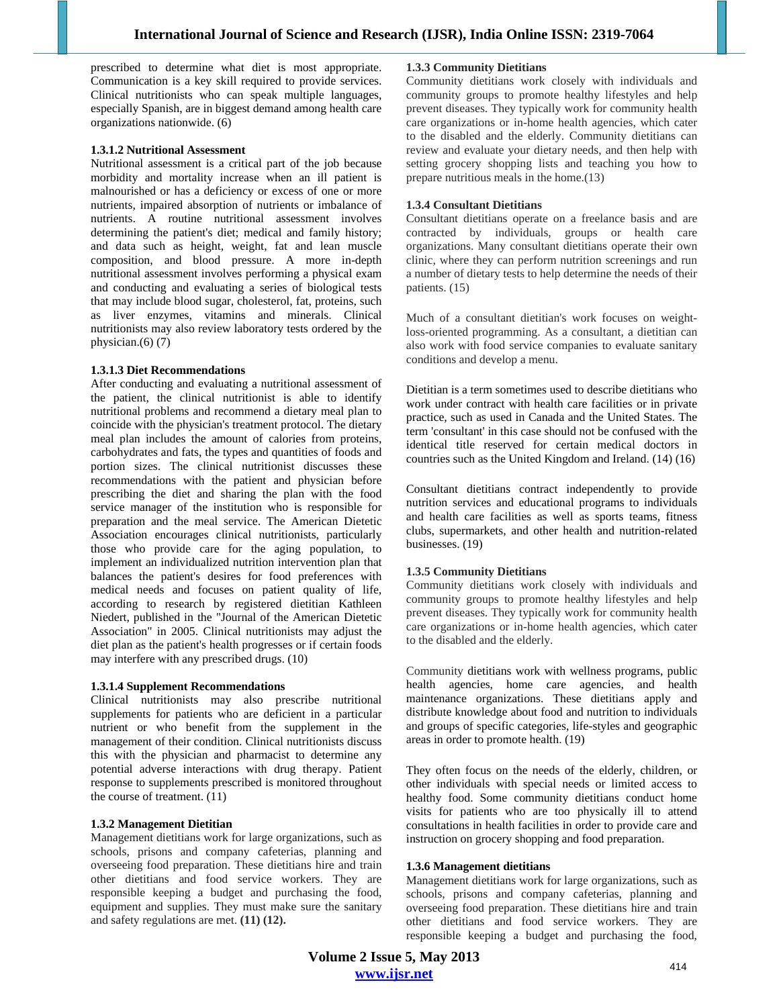prescribed to determine what diet is most appropriate. Communication is a key skill required to provide services. Clinical nutritionists who can speak multiple languages, especially Spanish, are in biggest demand among health care organizations nationwide. (6)

#### **1.3.1.2 Nutritional Assessment**

Nutritional assessment is a critical part of the job because morbidity and mortality increase when an ill patient is malnourished or has a deficiency or excess of one or more nutrients, impaired absorption of nutrients or imbalance of nutrients. A routine nutritional assessment involves determining the patient's diet; medical and family history; and data such as height, weight, fat and lean muscle composition, and blood pressure. A more in-depth nutritional assessment involves performing a physical exam and conducting and evaluating a series of biological tests that may include blood sugar, cholesterol, fat, proteins, such as liver enzymes, vitamins and minerals. Clinical nutritionists may also review laboratory tests ordered by the physician. $(6)$  $(7)$ 

#### **1.3.1.3 Diet Recommendations**

After conducting and evaluating a nutritional assessment of the patient, the clinical nutritionist is able to identify nutritional problems and recommend a dietary meal plan to coincide with the physician's treatment protocol. The dietary meal plan includes the amount of calories from proteins, carbohydrates and fats, the types and quantities of foods and portion sizes. The clinical nutritionist discusses these recommendations with the patient and physician before prescribing the diet and sharing the plan with the food service manager of the institution who is responsible for preparation and the meal service. The American Dietetic Association encourages clinical nutritionists, particularly those who provide care for the aging population, to implement an individualized nutrition intervention plan that balances the patient's desires for food preferences with medical needs and focuses on patient quality of life, according to research by registered dietitian Kathleen Niedert, published in the "Journal of the American Dietetic Association" in 2005. Clinical nutritionists may adjust the diet plan as the patient's health progresses or if certain foods may interfere with any prescribed drugs. (10)

## **1.3.1.4 Supplement Recommendations**

Clinical nutritionists may also prescribe nutritional supplements for patients who are deficient in a particular nutrient or who benefit from the supplement in the management of their condition. Clinical nutritionists discuss this with the physician and pharmacist to determine any potential adverse interactions with drug therapy. Patient response to supplements prescribed is monitored throughout the course of treatment.  $(11)$ 

### **1.3.2 Management Dietitian**

Management dietitians work for large organizations, such as schools, prisons and company cafeterias, planning and overseeing food preparation. These dietitians hire and train other dietitians and food service workers. They are responsible keeping a budget and purchasing the food, equipment and supplies. They must make sure the sanitary and safety regulations are met. **(11) (12).** 

#### **1.3.3 Community Dietitians**

Community dietitians work closely with individuals and community groups to promote healthy lifestyles and help prevent diseases. They typically work for community health care organizations or in-home health agencies, which cater to the disabled and the elderly. Community dietitians can review and evaluate your dietary needs, and then help with setting grocery shopping lists and teaching you how to prepare nutritious meals in the home.(13)

#### **1.3.4 Consultant Dietitians**

Consultant dietitians operate on a freelance basis and are contracted by individuals, groups or health care organizations. Many consultant dietitians operate their own clinic, where they can perform nutrition screenings and run a number of dietary tests to help determine the needs of their patients. (15)

Much of a consultant dietitian's work focuses on weightloss-oriented programming. As a consultant, a dietitian can also work with food service companies to evaluate sanitary conditions and develop a menu.

Dietitian is a term sometimes used to describe dietitians who work under contract with health care facilities or in private practice, such as used in Canada and the United States. The term 'consultant' in this case should not be confused with the identical title reserved for certain medical doctors in countries such as the United Kingdom and Ireland. (14) (16)

Consultant dietitians contract independently to provide nutrition services and educational programs to individuals and health care facilities as well as sports teams, fitness clubs, supermarkets, and other health and nutrition-related businesses. (19)

### **1.3.5 Community Dietitians**

Community dietitians work closely with individuals and community groups to promote healthy lifestyles and help prevent diseases. They typically work for community health care organizations or in-home health agencies, which cater to the disabled and the elderly.

Community dietitians work with wellness programs, public health agencies, home care agencies, and health maintenance organizations. These dietitians apply and distribute knowledge about food and nutrition to individuals and groups of specific categories, life-styles and geographic areas in order to promote health. (19)

They often focus on the needs of the elderly, children, or other individuals with special needs or limited access to healthy food. Some community dietitians conduct home visits for patients who are too physically ill to attend consultations in health facilities in order to provide care and instruction on grocery shopping and food preparation.

## **1.3.6 Management dietitians**

Management dietitians work for large organizations, such as schools, prisons and company cafeterias, planning and overseeing food preparation. These dietitians hire and train other dietitians and food service workers. They are responsible keeping a budget and purchasing the food,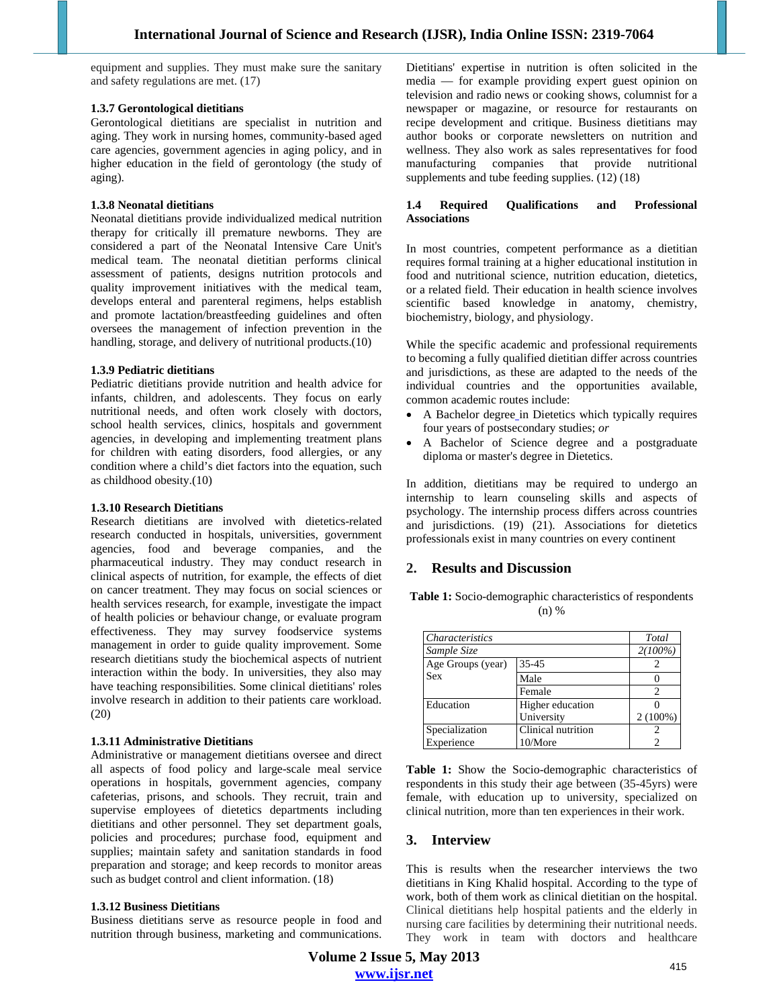equipment and supplies. They must make sure the sanitary and safety regulations are met. (17)

### **1.3.7 Gerontological dietitians**

Gerontological dietitians are specialist in nutrition and aging. They work in nursing homes, community-based aged care agencies, government agencies in aging policy, and in higher education in the field of gerontology (the study of aging).

### **1.3.8 Neonatal dietitians**

Neonatal dietitians provide individualized medical nutrition therapy for critically ill premature newborns. They are considered a part of the Neonatal Intensive Care Unit's medical team. The neonatal dietitian performs clinical assessment of patients, designs nutrition protocols and quality improvement initiatives with the medical team, develops enteral and parenteral regimens, helps establish and promote lactation/breastfeeding guidelines and often oversees the management of infection prevention in the handling, storage, and delivery of nutritional products.(10)

#### **1.3.9 Pediatric dietitians**

Pediatric dietitians provide nutrition and health advice for infants, children, and adolescents. They focus on early nutritional needs, and often work closely with doctors, school health services, clinics, hospitals and government agencies, in developing and implementing treatment plans for children with eating disorders, food allergies, or any condition where a child's diet factors into the equation, such as childhood obesity.(10)

#### **1.3.10 Research Dietitians**

Research dietitians are involved with dietetics-related research conducted in hospitals, universities, government agencies, food and beverage companies, and the pharmaceutical industry. They may conduct research in clinical aspects of nutrition, for example, the effects of diet on cancer treatment. They may focus on social sciences or health services research, for example, investigate the impact of health policies or behaviour change, or evaluate program effectiveness. They may survey foodservice systems management in order to guide quality improvement. Some research dietitians study the biochemical aspects of nutrient interaction within the body. In universities, they also may have teaching responsibilities. Some clinical dietitians' roles involve research in addition to their patients care workload. (20)

### **1.3.11 Administrative Dietitians**

Administrative or management dietitians oversee and direct all aspects of food policy and large-scale meal service operations in hospitals, government agencies, company cafeterias, prisons, and schools. They recruit, train and supervise employees of dietetics departments including dietitians and other personnel. They set department goals, policies and procedures; purchase food, equipment and supplies; maintain safety and sanitation standards in food preparation and storage; and keep records to monitor areas such as budget control and client information. (18)

### **1.3.12 Business Dietitians**

Business dietitians serve as resource people in food and nutrition through business, marketing and communications.

Dietitians' expertise in nutrition is often solicited in the media — for example providing expert guest opinion on television and radio news or cooking shows, columnist for a newspaper or magazine, or resource for restaurants on recipe development and critique. Business dietitians may author books or corporate newsletters on nutrition and wellness. They also work as sales representatives for food manufacturing companies that provide nutritional supplements and tube feeding supplies. (12) (18)

#### **1.4 Required Qualifications and Professional Associations**

In most countries, competent performance as a dietitian requires formal training at a higher educational institution in food and nutritional science, nutrition education, dietetics, or a related field. Their education in health science involves scientific based knowledge in anatomy, chemistry, biochemistry, biology, and physiology.

While the specific academic and professional requirements to becoming a fully qualified dietitian differ across countries and jurisdictions, as these are adapted to the needs of the individual countries and the opportunities available, common academic routes include:

- A Bachelor degree in Dietetics which typically requires four years of postsecondary studies; *or*
- A Bachelor of Science degree and a postgraduate diploma or master's degree in Dietetics.

In addition, dietitians may be required to undergo an internship to learn counseling skills and aspects of psychology. The internship process differs across countries and jurisdictions. (19)  $(21)$ . Associations for dietetics professionals exist in many countries on every continent

## **2. Results and Discussion**

**Table 1:** Socio-demographic characteristics of respondents (n) %

| <i>Characteristics</i> |                    | Total      |
|------------------------|--------------------|------------|
| Sample Size            |                    | $2(100\%)$ |
| Age Groups (year)      | $35 - 45$          |            |
| Sex                    | Male               |            |
|                        | Female             | 2          |
| Education              | Higher education   |            |
|                        | University         | $2(100\%)$ |
| Specialization         | Clinical nutrition | 2          |
| Experience             | 10/More            |            |

**Table 1:** Show the Socio-demographic characteristics of respondents in this study their age between (35-45yrs) were female, with education up to university, specialized on clinical nutrition, more than ten experiences in their work.

## **3. Interview**

This is results when the researcher interviews the two dietitians in King Khalid hospital. According to the type of work, both of them work as clinical dietitian on the hospital. Clinical dietitians help hospital patients and the elderly in nursing care facilities by determining their nutritional needs. They work in team with doctors and healthcare

**Volume 2 Issue 5, May 2013 www.ijsr.net**